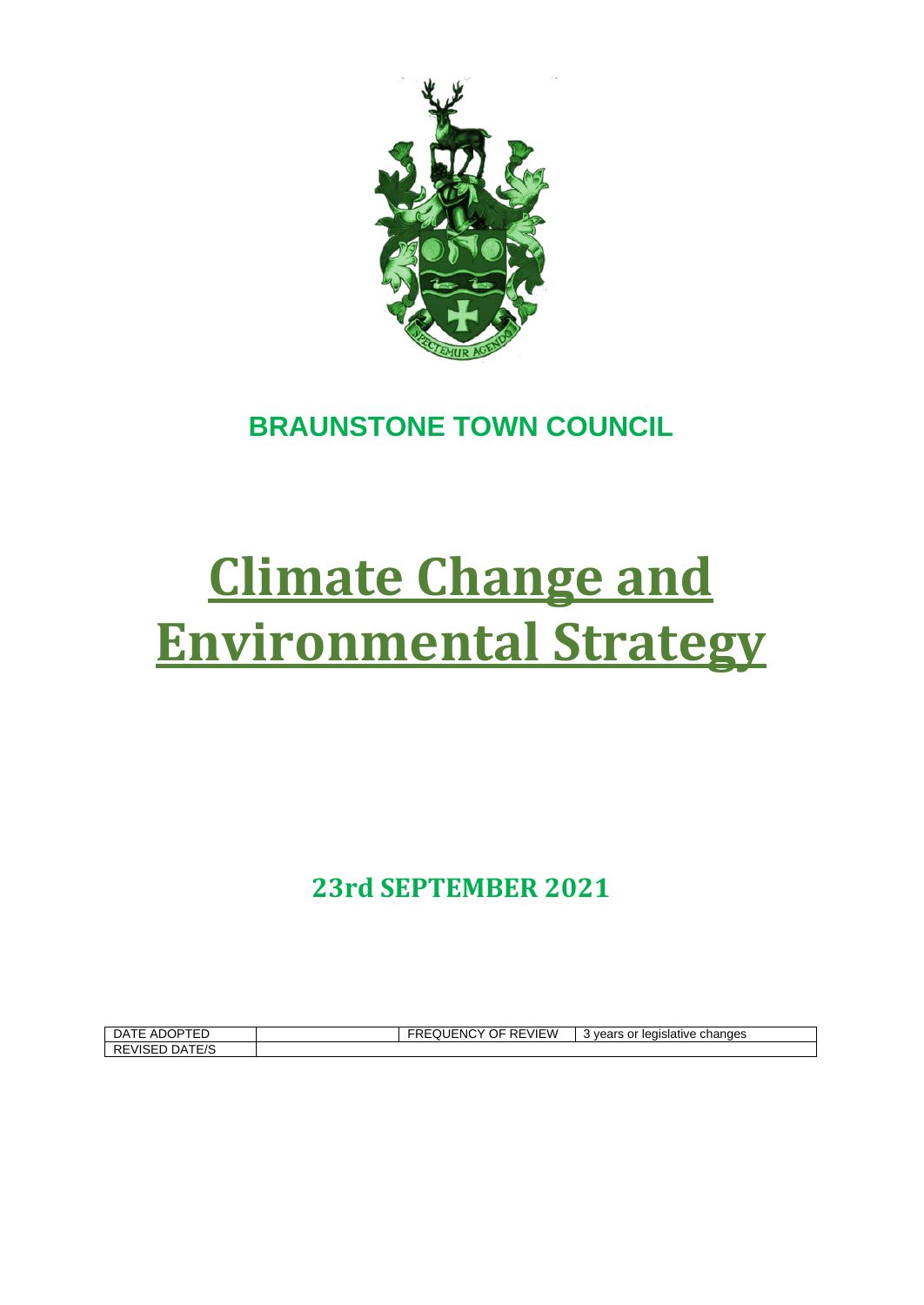

## **BRAUNSTONE TOWN COUNCIL**

# **Climate Change and Environmental Strategy**

**23rd SEPTEMBER 2021**

| DATE<br>. ⊏ ADOP '<br>∸    | <b>REVIEW</b><br>-JF<br>۰NC<br>--<br>. WULIVU | changes<br>Tegislative<br>vears<br>. or |
|----------------------------|-----------------------------------------------|-----------------------------------------|
| REVISED<br>∵ ∆ل<br>\ I E/S |                                               |                                         |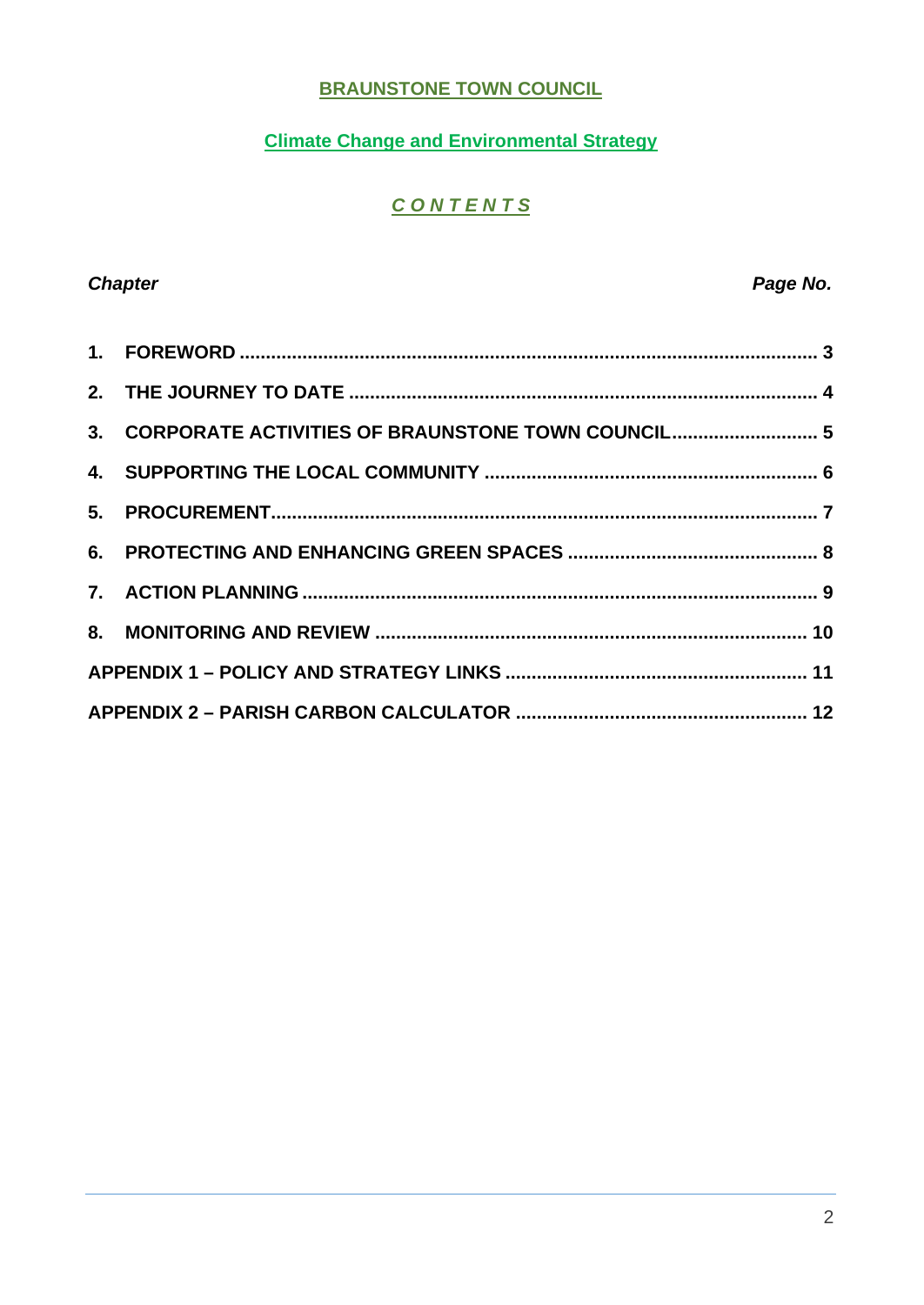#### **BRAUNSTONE TOWN COUNCIL**

#### **Climate Change and Environmental Strategy**

#### *C O N T E N T S*

#### **Chapter Chapter Chapter Chapter Chapter Chapter Chapter Chapter Chapter Chapter Chapter Chapter Chapter Chapter Chapter Chapter Chapter Chapter Chapter Chapter Chapter Chapter Chapter Chapter Chapter Chapter Chapter Chapt**

| 3. CORPORATE ACTIVITIES OF BRAUNSTONE TOWN COUNCIL 5 |  |
|------------------------------------------------------|--|
|                                                      |  |
|                                                      |  |
|                                                      |  |
|                                                      |  |
|                                                      |  |
|                                                      |  |
|                                                      |  |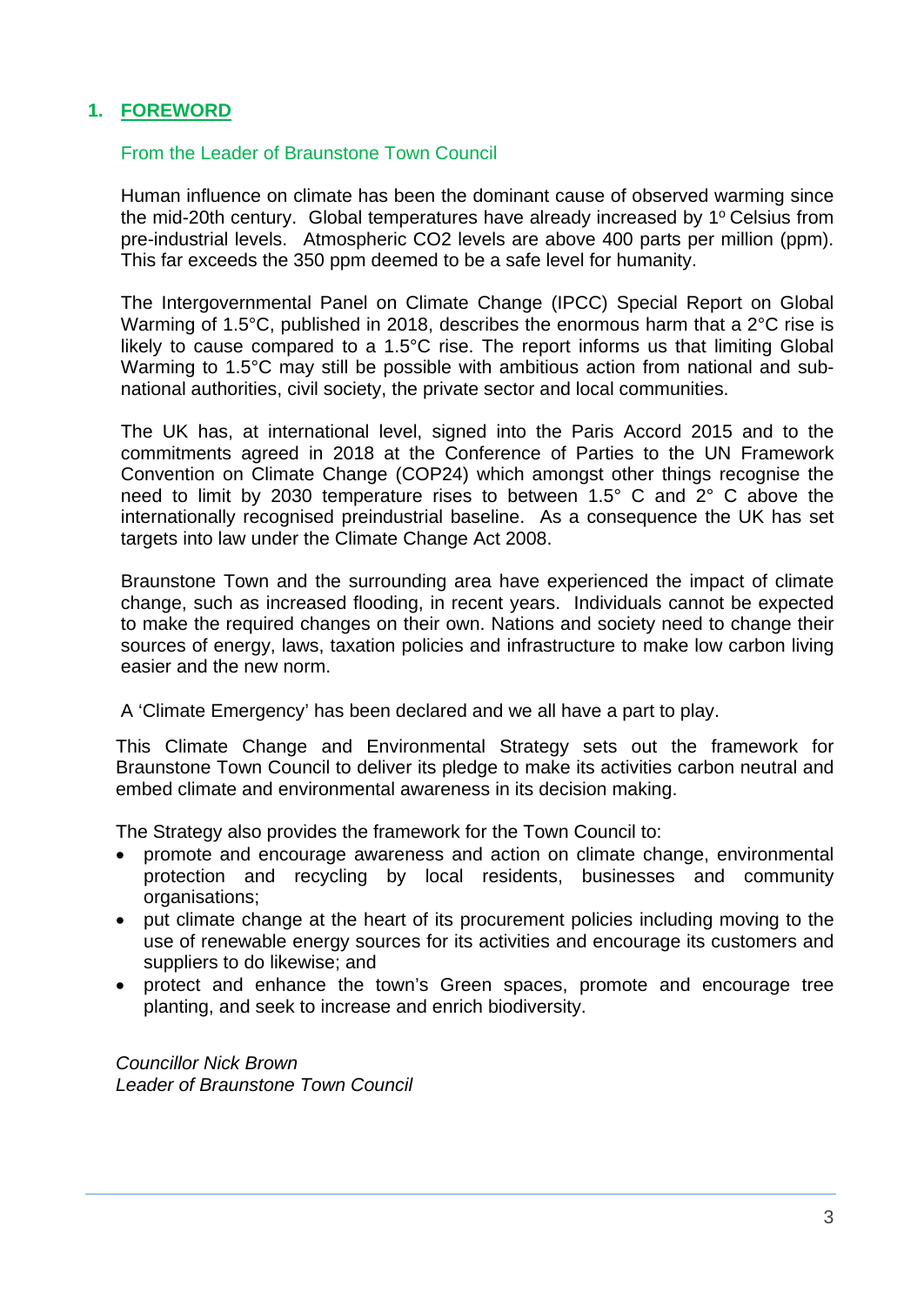#### <span id="page-2-0"></span>**1. FOREWORD**

#### From the Leader of Braunstone Town Council

Human influence on climate has been the dominant cause of observed warming since the mid-20th century. Global temperatures have already increased by  $1^\circ$  Celsius from pre-industrial levels. Atmospheric CO2 levels are above 400 parts per million (ppm). This far exceeds the 350 ppm deemed to be a safe level for humanity.

The Intergovernmental Panel on Climate Change (IPCC) Special Report on Global Warming of 1.5°C, published in 2018, describes the enormous harm that a 2°C rise is likely to cause compared to a 1.5°C rise. The report informs us that limiting Global Warming to 1.5°C may still be possible with ambitious action from national and subnational authorities, civil society, the private sector and local communities.

The UK has, at international level, signed into the Paris Accord 2015 and to the commitments agreed in 2018 at the Conference of Parties to the UN Framework Convention on Climate Change (COP24) which amongst other things recognise the need to limit by 2030 temperature rises to between 1.5° C and 2° C above the internationally recognised preindustrial baseline. As a consequence the UK has set targets into law under the Climate Change Act 2008.

Braunstone Town and the surrounding area have experienced the impact of climate change, such as increased flooding, in recent years. Individuals cannot be expected to make the required changes on their own. Nations and society need to change their sources of energy, laws, taxation policies and infrastructure to make low carbon living easier and the new norm.

A 'Climate Emergency' has been declared and we all have a part to play.

This Climate Change and Environmental Strategy sets out the framework for Braunstone Town Council to deliver its pledge to make its activities carbon neutral and embed climate and environmental awareness in its decision making.

The Strategy also provides the framework for the Town Council to:

- promote and encourage awareness and action on climate change, environmental protection and recycling by local residents, businesses and community organisations;
- put climate change at the heart of its procurement policies including moving to the use of renewable energy sources for its activities and encourage its customers and suppliers to do likewise; and
- protect and enhance the town's Green spaces, promote and encourage tree planting, and seek to increase and enrich biodiversity.

*Councillor Nick Brown Leader of Braunstone Town Council*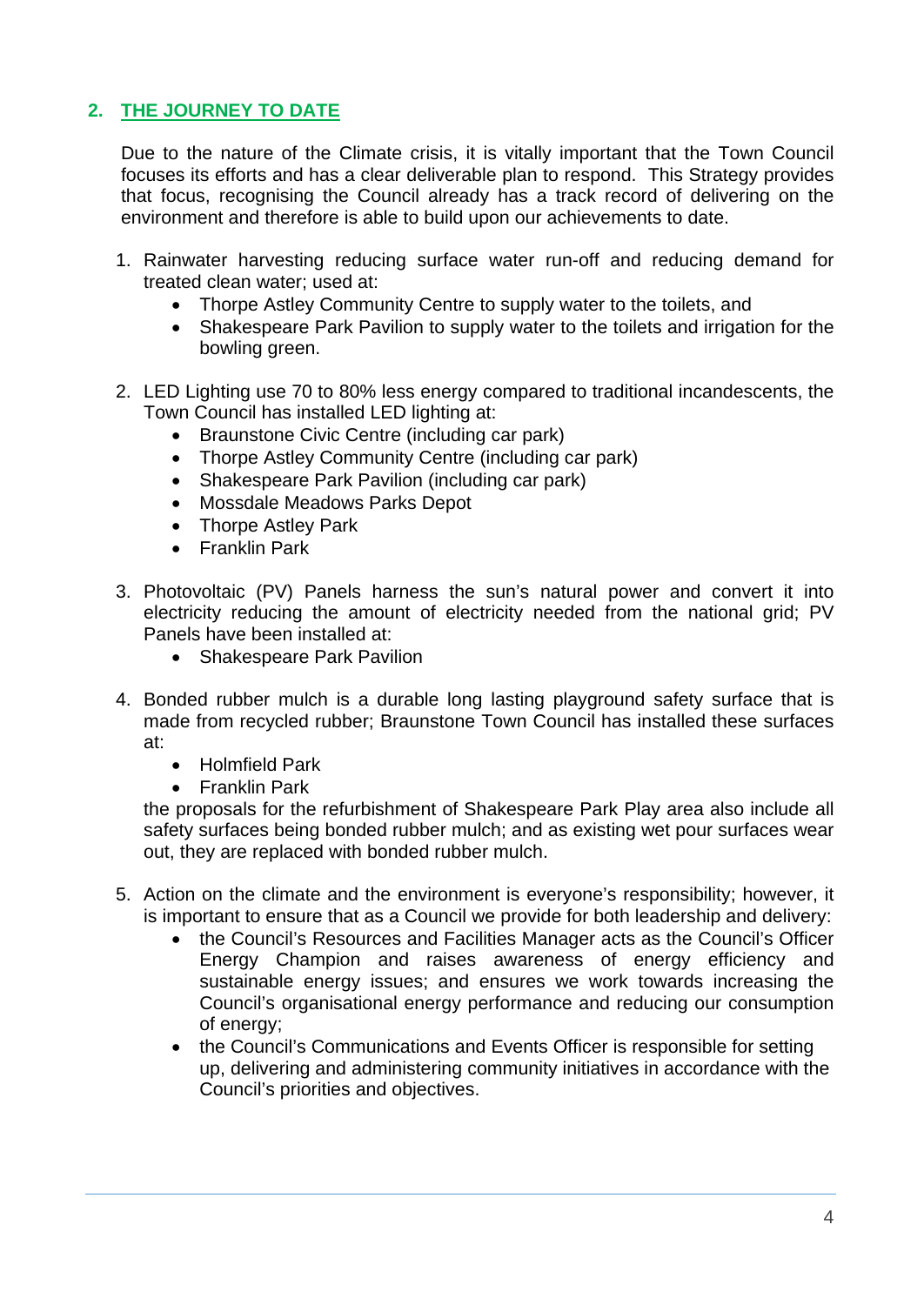#### <span id="page-3-0"></span>**2. THE JOURNEY TO DATE**

Due to the nature of the Climate crisis, it is vitally important that the Town Council focuses its efforts and has a clear deliverable plan to respond. This Strategy provides that focus, recognising the Council already has a track record of delivering on the environment and therefore is able to build upon our achievements to date.

- 1. Rainwater harvesting reducing surface water run-off and reducing demand for treated clean water; used at:
	- Thorpe Astley Community Centre to supply water to the toilets, and
	- Shakespeare Park Pavilion to supply water to the toilets and irrigation for the bowling green.
- 2. LED Lighting use 70 to 80% less energy compared to traditional incandescents, the Town Council has installed LED lighting at:
	- Braunstone Civic Centre (including car park)
	- Thorpe Astley Community Centre (including car park)
	- Shakespeare Park Pavilion (including car park)
	- Mossdale Meadows Parks Depot
	- Thorpe Astley Park
	- Franklin Park
- 3. Photovoltaic (PV) Panels harness the sun's natural power and convert it into electricity reducing the amount of electricity needed from the national grid; PV Panels have been installed at:
	- Shakespeare Park Pavilion
- 4. Bonded rubber mulch is a durable long lasting playground safety surface that is made from recycled rubber; Braunstone Town Council has installed these surfaces at:
	- Holmfield Park
	- Franklin Park

the proposals for the refurbishment of Shakespeare Park Play area also include all safety surfaces being bonded rubber mulch; and as existing wet pour surfaces wear out, they are replaced with bonded rubber mulch.

- 5. Action on the climate and the environment is everyone's responsibility; however, it is important to ensure that as a Council we provide for both leadership and delivery:
	- the Council's Resources and Facilities Manager acts as the Council's Officer Energy Champion and raises awareness of energy efficiency and sustainable energy issues; and ensures we work towards increasing the Council's organisational energy performance and reducing our consumption of energy;
	- the Council's Communications and Events Officer is responsible for setting up, delivering and administering community initiatives in accordance with the Council's priorities and objectives.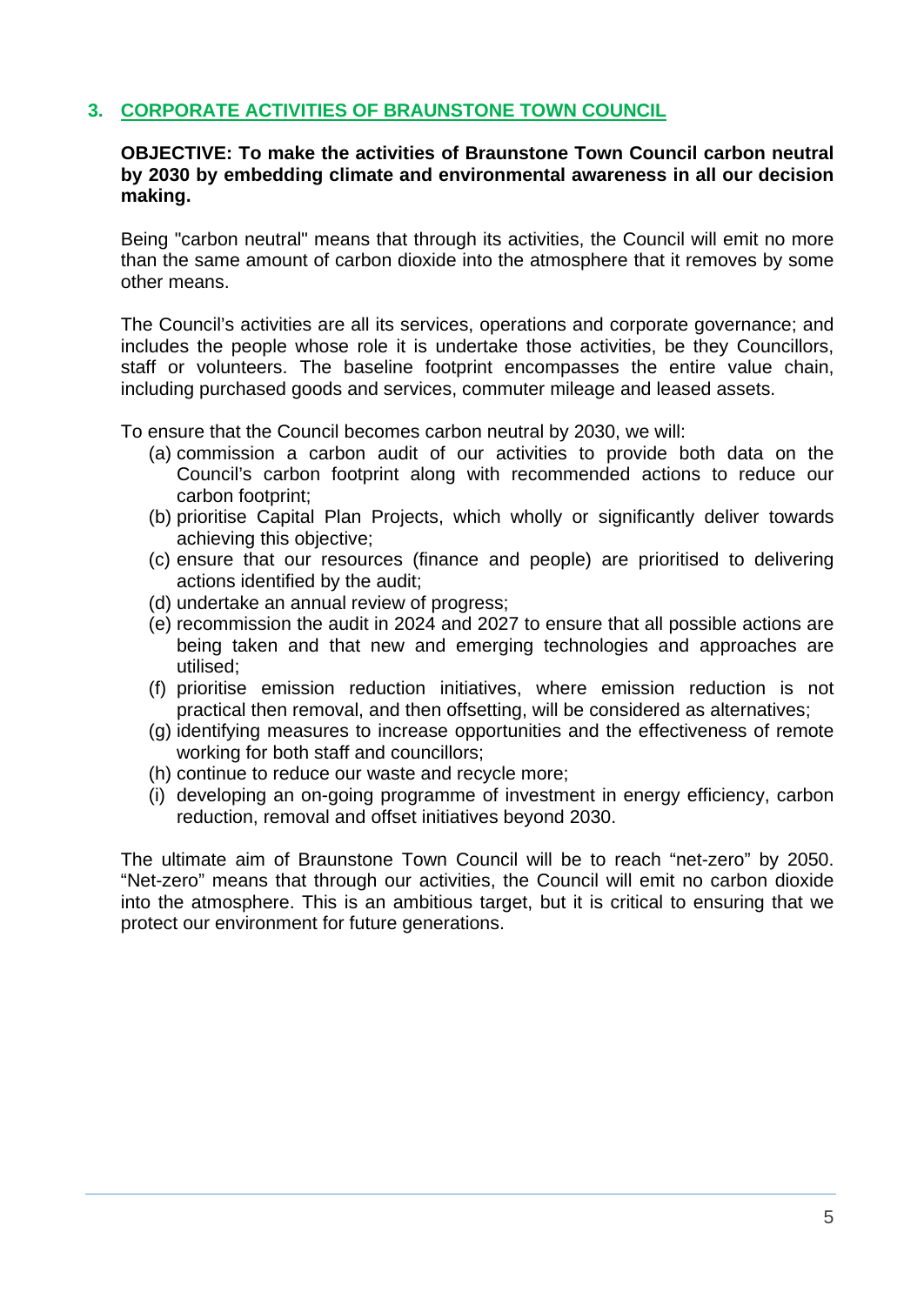#### <span id="page-4-0"></span>**3. CORPORATE ACTIVITIES OF BRAUNSTONE TOWN COUNCIL**

#### **OBJECTIVE: To make the activities of Braunstone Town Council carbon neutral by 2030 by embedding climate and environmental awareness in all our decision making.**

Being "carbon neutral" means that through its activities, the Council will emit no more than the same amount of carbon dioxide into the atmosphere that it removes by some other means.

The Council's activities are all its services, operations and corporate governance; and includes the people whose role it is undertake those activities, be they Councillors, staff or volunteers. The baseline footprint encompasses the entire value chain, including purchased goods and services, commuter mileage and leased assets.

To ensure that the Council becomes carbon neutral by 2030, we will:

- (a) commission a carbon audit of our activities to provide both data on the Council's carbon footprint along with recommended actions to reduce our carbon footprint;
- (b) prioritise Capital Plan Projects, which wholly or significantly deliver towards achieving this objective;
- (c) ensure that our resources (finance and people) are prioritised to delivering actions identified by the audit;
- (d) undertake an annual review of progress;
- (e) recommission the audit in 2024 and 2027 to ensure that all possible actions are being taken and that new and emerging technologies and approaches are utilised;
- (f) prioritise emission reduction initiatives, where emission reduction is not practical then removal, and then offsetting, will be considered as alternatives;
- (g) identifying measures to increase opportunities and the effectiveness of remote working for both staff and councillors;
- (h) continue to reduce our waste and recycle more;
- (i) developing an on-going programme of investment in energy efficiency, carbon reduction, removal and offset initiatives beyond 2030.

The ultimate aim of Braunstone Town Council will be to reach "net-zero" by 2050. "Net-zero" means that through our activities, the Council will emit no carbon dioxide into the atmosphere. This is an ambitious target, but it is critical to ensuring that we protect our environment for future generations.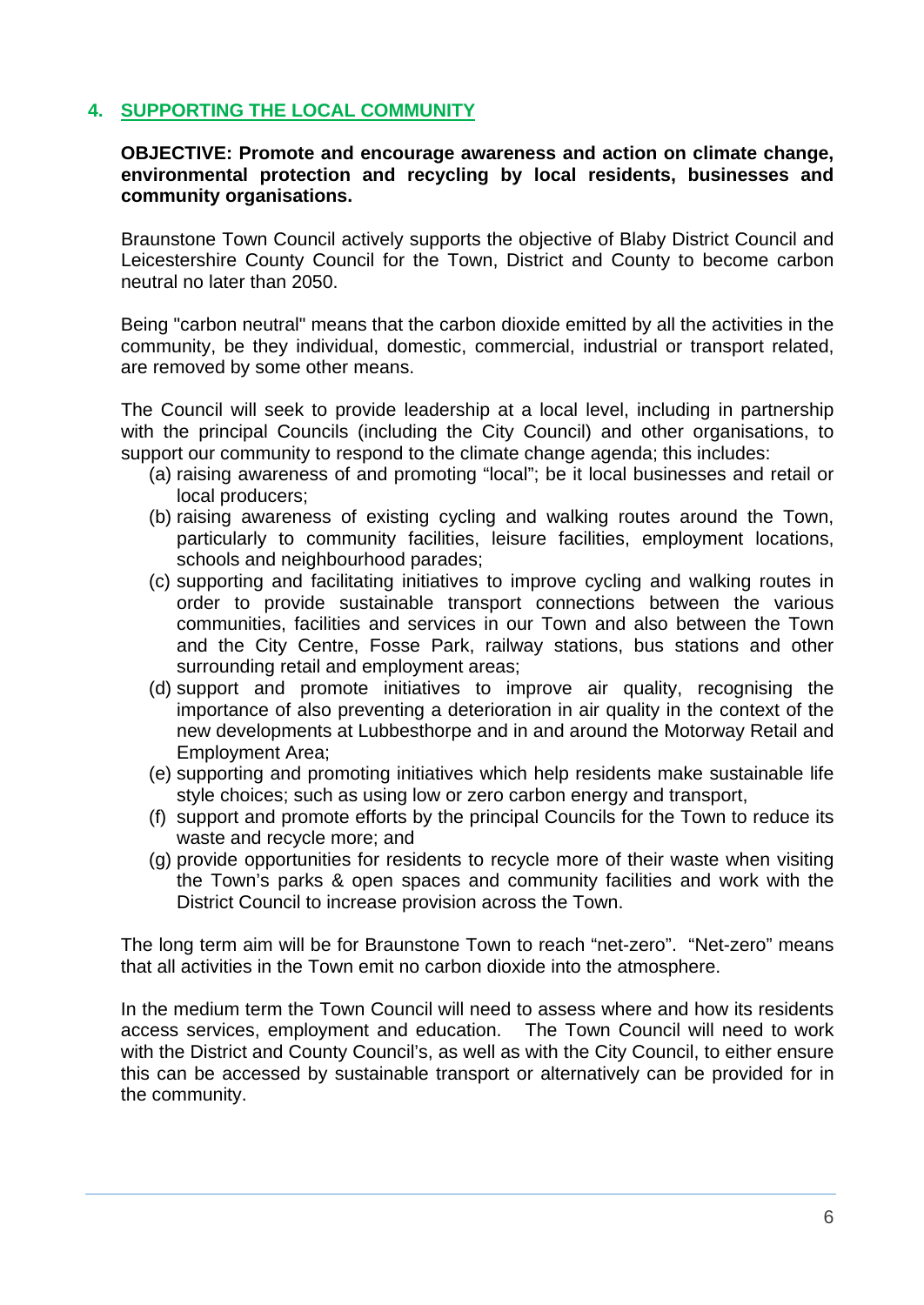#### <span id="page-5-0"></span>**4. SUPPORTING THE LOCAL COMMUNITY**

#### **OBJECTIVE: Promote and encourage awareness and action on climate change, environmental protection and recycling by local residents, businesses and community organisations.**

Braunstone Town Council actively supports the objective of Blaby District Council and Leicestershire County Council for the Town, District and County to become carbon neutral no later than 2050.

Being "carbon neutral" means that the carbon dioxide emitted by all the activities in the community, be they individual, domestic, commercial, industrial or transport related, are removed by some other means.

The Council will seek to provide leadership at a local level, including in partnership with the principal Councils (including the City Council) and other organisations, to support our community to respond to the climate change agenda; this includes:

- (a) raising awareness of and promoting "local"; be it local businesses and retail or local producers;
- (b) raising awareness of existing cycling and walking routes around the Town, particularly to community facilities, leisure facilities, employment locations, schools and neighbourhood parades;
- (c) supporting and facilitating initiatives to improve cycling and walking routes in order to provide sustainable transport connections between the various communities, facilities and services in our Town and also between the Town and the City Centre, Fosse Park, railway stations, bus stations and other surrounding retail and employment areas;
- (d) support and promote initiatives to improve air quality, recognising the importance of also preventing a deterioration in air quality in the context of the new developments at Lubbesthorpe and in and around the Motorway Retail and Employment Area;
- (e) supporting and promoting initiatives which help residents make sustainable life style choices; such as using low or zero carbon energy and transport,
- (f) support and promote efforts by the principal Councils for the Town to reduce its waste and recycle more; and
- (g) provide opportunities for residents to recycle more of their waste when visiting the Town's parks & open spaces and community facilities and work with the District Council to increase provision across the Town.

The long term aim will be for Braunstone Town to reach "net-zero". "Net-zero" means that all activities in the Town emit no carbon dioxide into the atmosphere.

In the medium term the Town Council will need to assess where and how its residents access services, employment and education. The Town Council will need to work with the District and County Council's, as well as with the City Council, to either ensure this can be accessed by sustainable transport or alternatively can be provided for in the community.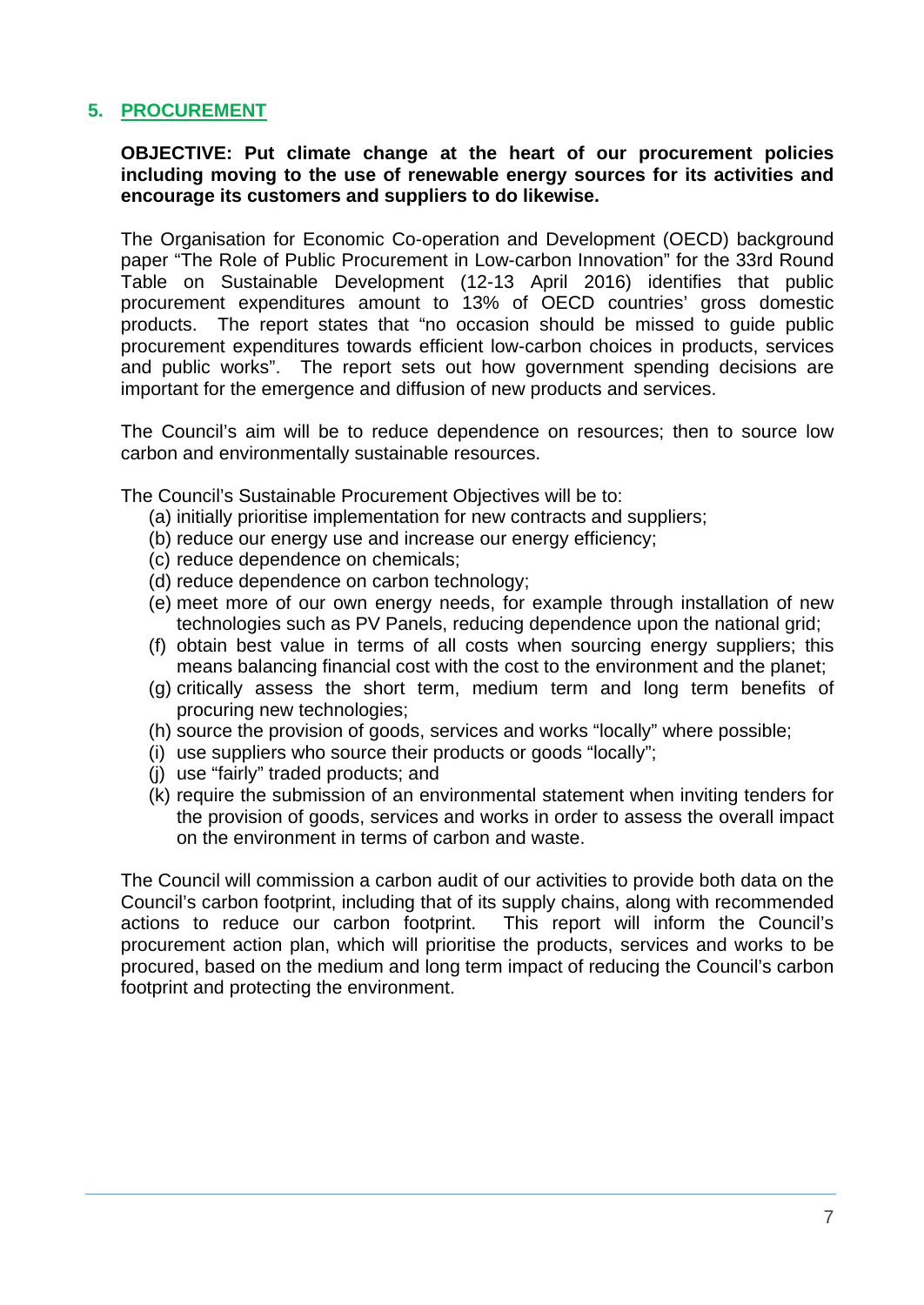#### <span id="page-6-0"></span>**5. PROCUREMENT**

#### **OBJECTIVE: Put climate change at the heart of our procurement policies including moving to the use of renewable energy sources for its activities and encourage its customers and suppliers to do likewise.**

The Organisation for Economic Co-operation and Development (OECD) background paper "The Role of Public Procurement in Low-carbon Innovation" for the 33rd Round Table on Sustainable Development (12-13 April 2016) identifies that public procurement expenditures amount to 13% of OECD countries' gross domestic products. The report states that "no occasion should be missed to guide public procurement expenditures towards efficient low-carbon choices in products, services and public works". The report sets out how government spending decisions are important for the emergence and diffusion of new products and services.

The Council's aim will be to reduce dependence on resources; then to source low carbon and environmentally sustainable resources.

The Council's Sustainable Procurement Objectives will be to:

- (a) initially prioritise implementation for new contracts and suppliers;
- (b) reduce our energy use and increase our energy efficiency;
- (c) reduce dependence on chemicals;
- (d) reduce dependence on carbon technology;
- (e) meet more of our own energy needs, for example through installation of new technologies such as PV Panels, reducing dependence upon the national grid;
- (f) obtain best value in terms of all costs when sourcing energy suppliers; this means balancing financial cost with the cost to the environment and the planet;
- (g) critically assess the short term, medium term and long term benefits of procuring new technologies;
- (h) source the provision of goods, services and works "locally" where possible;
- (i) use suppliers who source their products or goods "locally";
- (j) use "fairly" traded products; and
- (k) require the submission of an environmental statement when inviting tenders for the provision of goods, services and works in order to assess the overall impact on the environment in terms of carbon and waste.

The Council will commission a carbon audit of our activities to provide both data on the Council's carbon footprint, including that of its supply chains, along with recommended actions to reduce our carbon footprint. This report will inform the Council's procurement action plan, which will prioritise the products, services and works to be procured, based on the medium and long term impact of reducing the Council's carbon footprint and protecting the environment.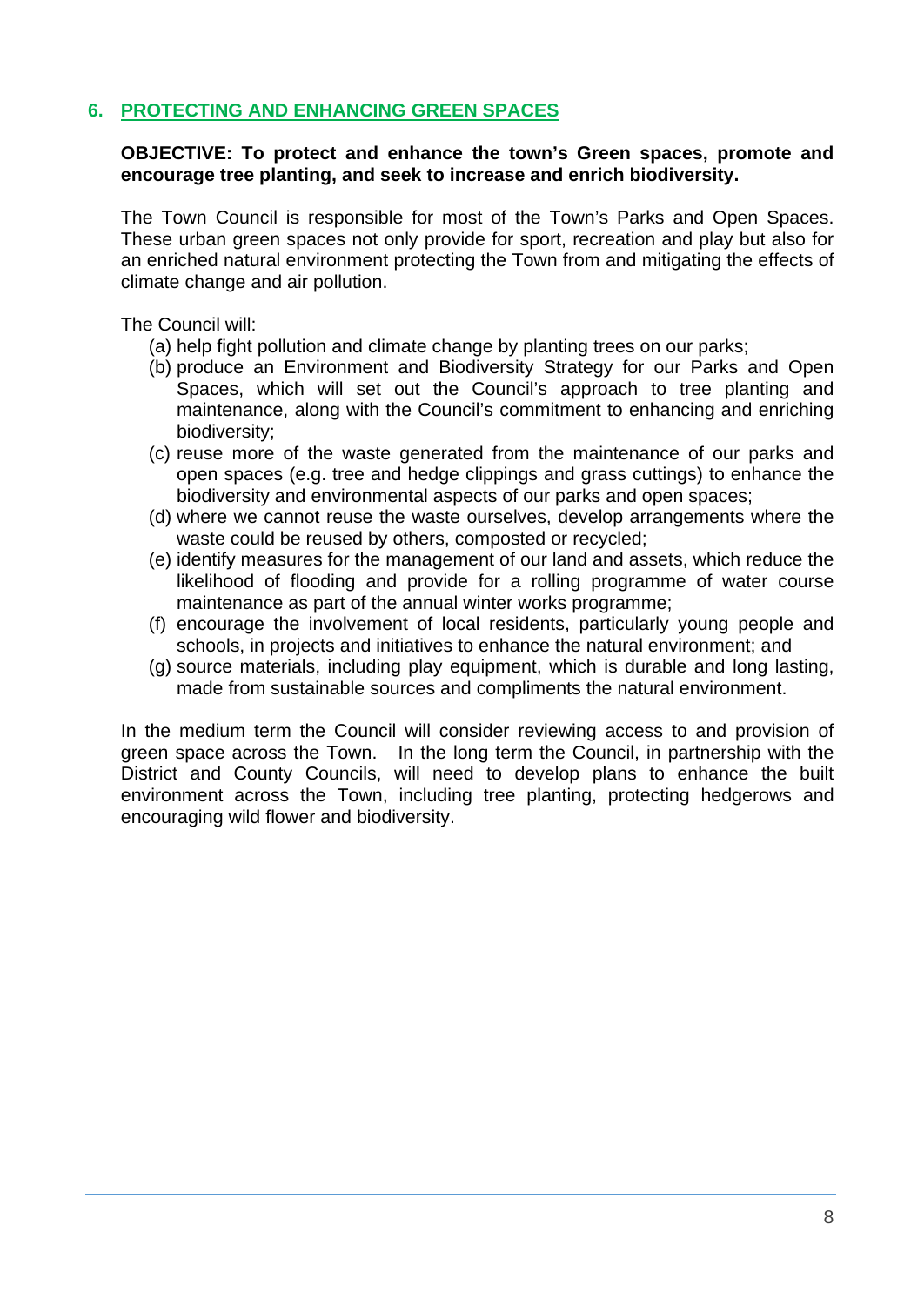#### <span id="page-7-0"></span>**6. PROTECTING AND ENHANCING GREEN SPACES**

#### **OBJECTIVE: To protect and enhance the town's Green spaces, promote and encourage tree planting, and seek to increase and enrich biodiversity.**

The Town Council is responsible for most of the Town's Parks and Open Spaces. These urban green spaces not only provide for sport, recreation and play but also for an enriched natural environment protecting the Town from and mitigating the effects of climate change and air pollution.

The Council will:

- (a) help fight pollution and climate change by planting trees on our parks;
- (b) produce an Environment and Biodiversity Strategy for our Parks and Open Spaces, which will set out the Council's approach to tree planting and maintenance, along with the Council's commitment to enhancing and enriching biodiversity;
- (c) reuse more of the waste generated from the maintenance of our parks and open spaces (e.g. tree and hedge clippings and grass cuttings) to enhance the biodiversity and environmental aspects of our parks and open spaces;
- (d) where we cannot reuse the waste ourselves, develop arrangements where the waste could be reused by others, composted or recycled;
- (e) identify measures for the management of our land and assets, which reduce the likelihood of flooding and provide for a rolling programme of water course maintenance as part of the annual winter works programme;
- (f) encourage the involvement of local residents, particularly young people and schools, in projects and initiatives to enhance the natural environment; and
- (g) source materials, including play equipment, which is durable and long lasting, made from sustainable sources and compliments the natural environment.

In the medium term the Council will consider reviewing access to and provision of green space across the Town. In the long term the Council, in partnership with the District and County Councils, will need to develop plans to enhance the built environment across the Town, including tree planting, protecting hedgerows and encouraging wild flower and biodiversity.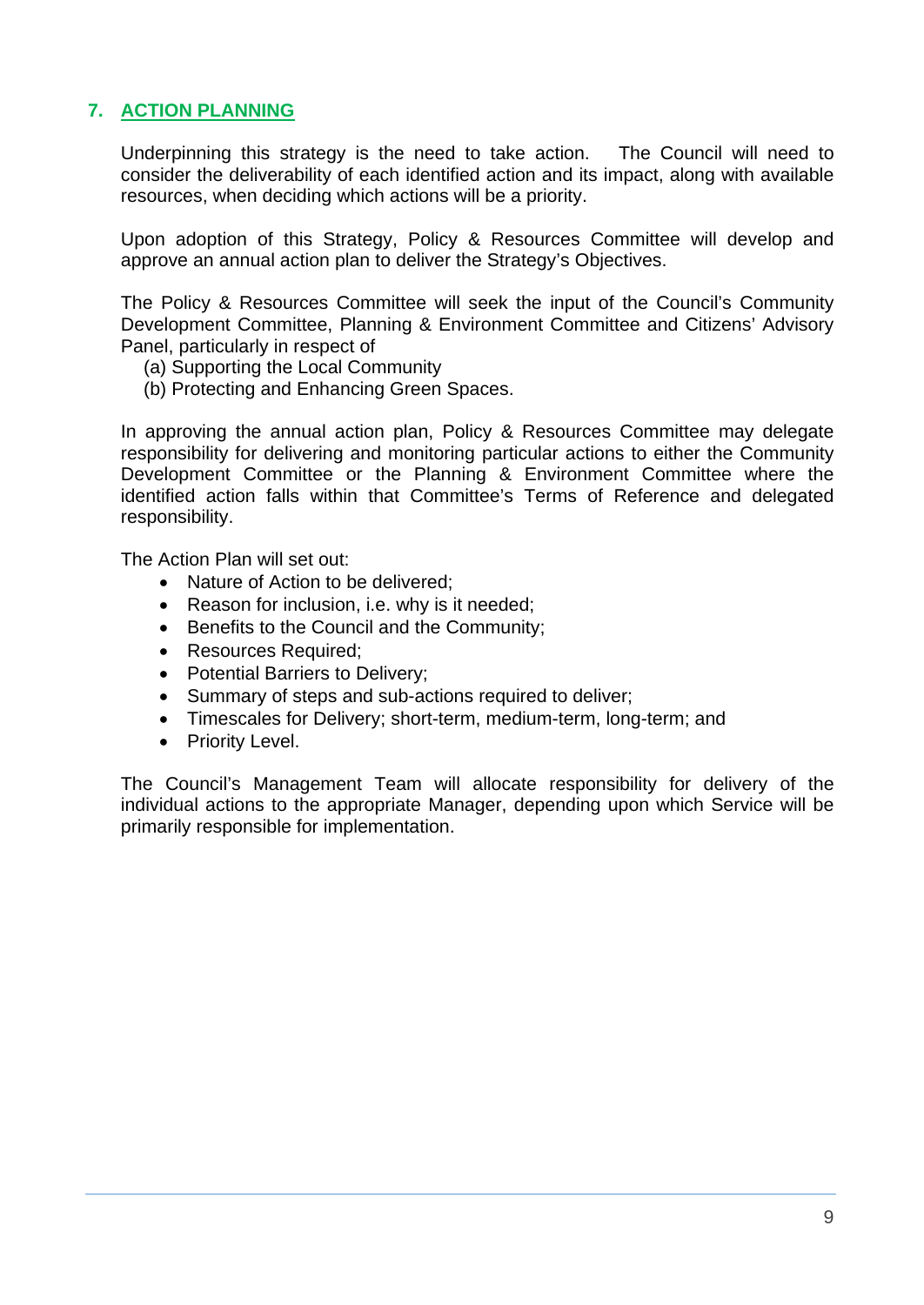#### <span id="page-8-0"></span>**7. ACTION PLANNING**

Underpinning this strategy is the need to take action. The Council will need to consider the deliverability of each identified action and its impact, along with available resources, when deciding which actions will be a priority.

Upon adoption of this Strategy, Policy & Resources Committee will develop and approve an annual action plan to deliver the Strategy's Objectives.

The Policy & Resources Committee will seek the input of the Council's Community Development Committee, Planning & Environment Committee and Citizens' Advisory Panel, particularly in respect of

- (a) Supporting the Local Community
- (b) Protecting and Enhancing Green Spaces.

In approving the annual action plan, Policy & Resources Committee may delegate responsibility for delivering and monitoring particular actions to either the Community Development Committee or the Planning & Environment Committee where the identified action falls within that Committee's Terms of Reference and delegated responsibility.

The Action Plan will set out:

- Nature of Action to be delivered:
- Reason for inclusion, i.e. why is it needed;
- Benefits to the Council and the Community;
- Resources Required;
- Potential Barriers to Delivery;
- Summary of steps and sub-actions required to deliver;
- Timescales for Delivery; short-term, medium-term, long-term; and
- Priority Level.

The Council's Management Team will allocate responsibility for delivery of the individual actions to the appropriate Manager, depending upon which Service will be primarily responsible for implementation.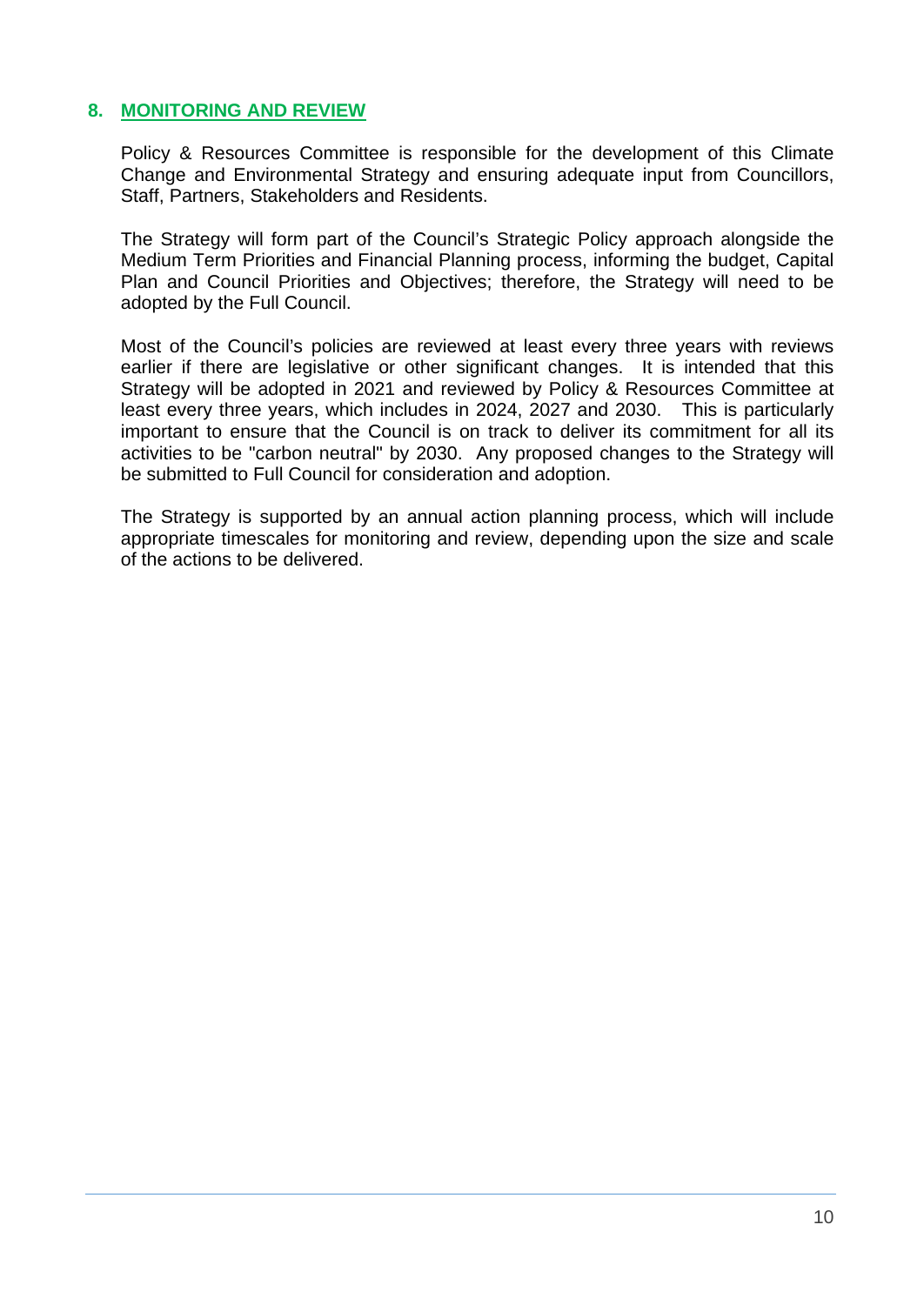#### <span id="page-9-0"></span>**8. MONITORING AND REVIEW**

Policy & Resources Committee is responsible for the development of this Climate Change and Environmental Strategy and ensuring adequate input from Councillors, Staff, Partners, Stakeholders and Residents.

The Strategy will form part of the Council's Strategic Policy approach alongside the Medium Term Priorities and Financial Planning process, informing the budget, Capital Plan and Council Priorities and Objectives; therefore, the Strategy will need to be adopted by the Full Council.

Most of the Council's policies are reviewed at least every three years with reviews earlier if there are legislative or other significant changes. It is intended that this Strategy will be adopted in 2021 and reviewed by Policy & Resources Committee at least every three years, which includes in 2024, 2027 and 2030. This is particularly important to ensure that the Council is on track to deliver its commitment for all its activities to be "carbon neutral" by 2030. Any proposed changes to the Strategy will be submitted to Full Council for consideration and adoption.

The Strategy is supported by an annual action planning process, which will include appropriate timescales for monitoring and review, depending upon the size and scale of the actions to be delivered.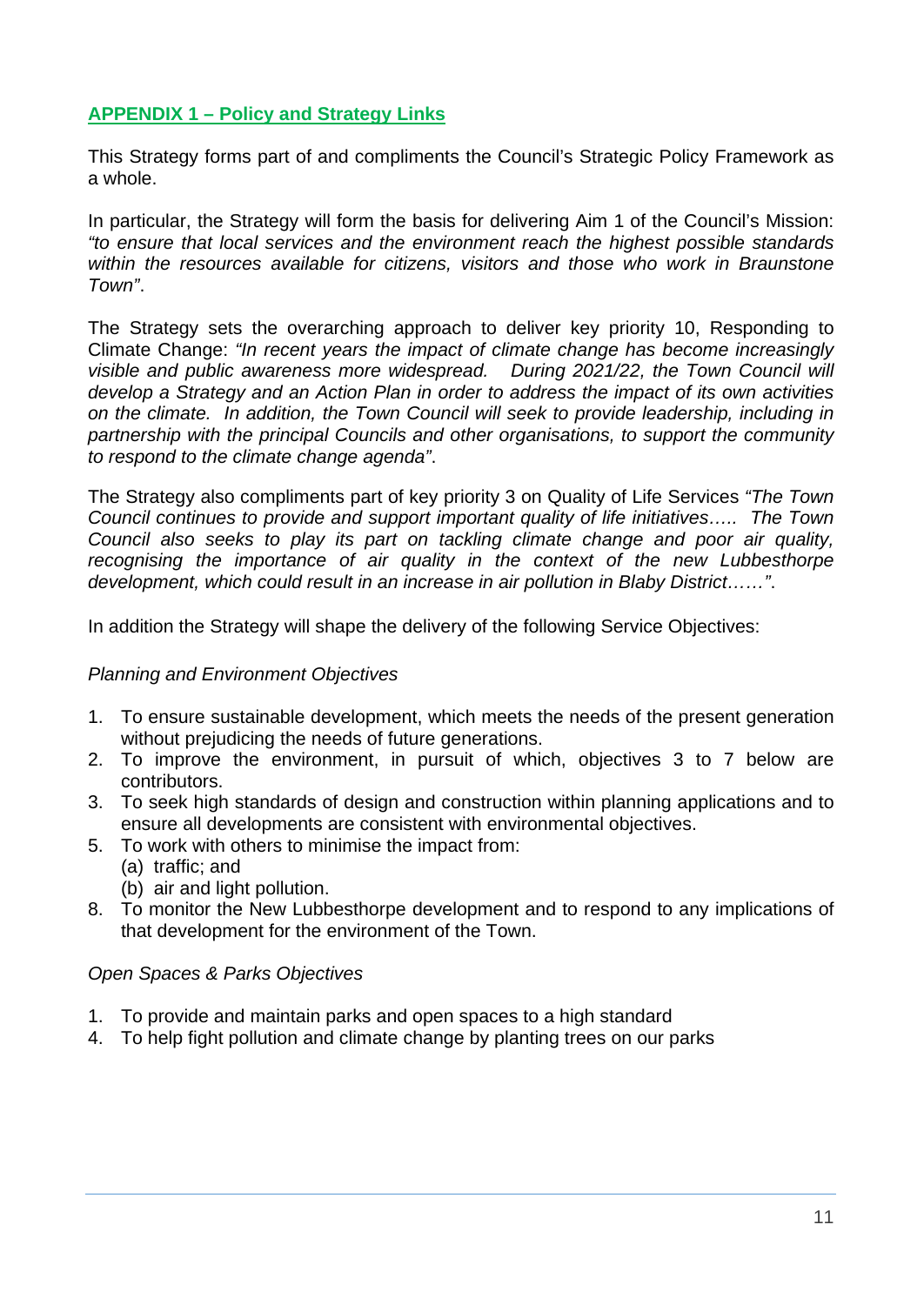#### <span id="page-10-0"></span>**APPENDIX 1 – Policy and Strategy Links**

This Strategy forms part of and compliments the Council's Strategic Policy Framework as a whole.

In particular, the Strategy will form the basis for delivering Aim 1 of the Council's Mission: *"to ensure that local services and the environment reach the highest possible standards*  within the resources available for citizens, visitors and those who work in Braunstone *Town"*.

The Strategy sets the overarching approach to deliver key priority 10, Responding to Climate Change: *"In recent years the impact of climate change has become increasingly visible and public awareness more widespread. During 2021/22, the Town Council will develop a Strategy and an Action Plan in order to address the impact of its own activities on the climate. In addition, the Town Council will seek to provide leadership, including in partnership with the principal Councils and other organisations, to support the community to respond to the climate change agenda"*.

The Strategy also compliments part of key priority 3 on Quality of Life Services *"The Town Council continues to provide and support important quality of life initiatives….. The Town Council also seeks to play its part on tackling climate change and poor air quality,*  recognising the *importance* of air quality in the context of the new Lubbesthorpe *development, which could result in an increase in air pollution in Blaby District……"*.

In addition the Strategy will shape the delivery of the following Service Objectives:

#### *Planning and Environment Objectives*

- 1. To ensure sustainable development, which meets the needs of the present generation without prejudicing the needs of future generations.
- 2. To improve the environment, in pursuit of which, objectives 3 to 7 below are contributors.
- 3. To seek high standards of design and construction within planning applications and to ensure all developments are consistent with environmental objectives.
- 5. To work with others to minimise the impact from:
	- (a) traffic; and
	- (b) air and light pollution.
- 8. To monitor the New Lubbesthorpe development and to respond to any implications of that development for the environment of the Town.

#### *Open Spaces & Parks Objectives*

- 1. To provide and maintain parks and open spaces to a high standard
- 4. To help fight pollution and climate change by planting trees on our parks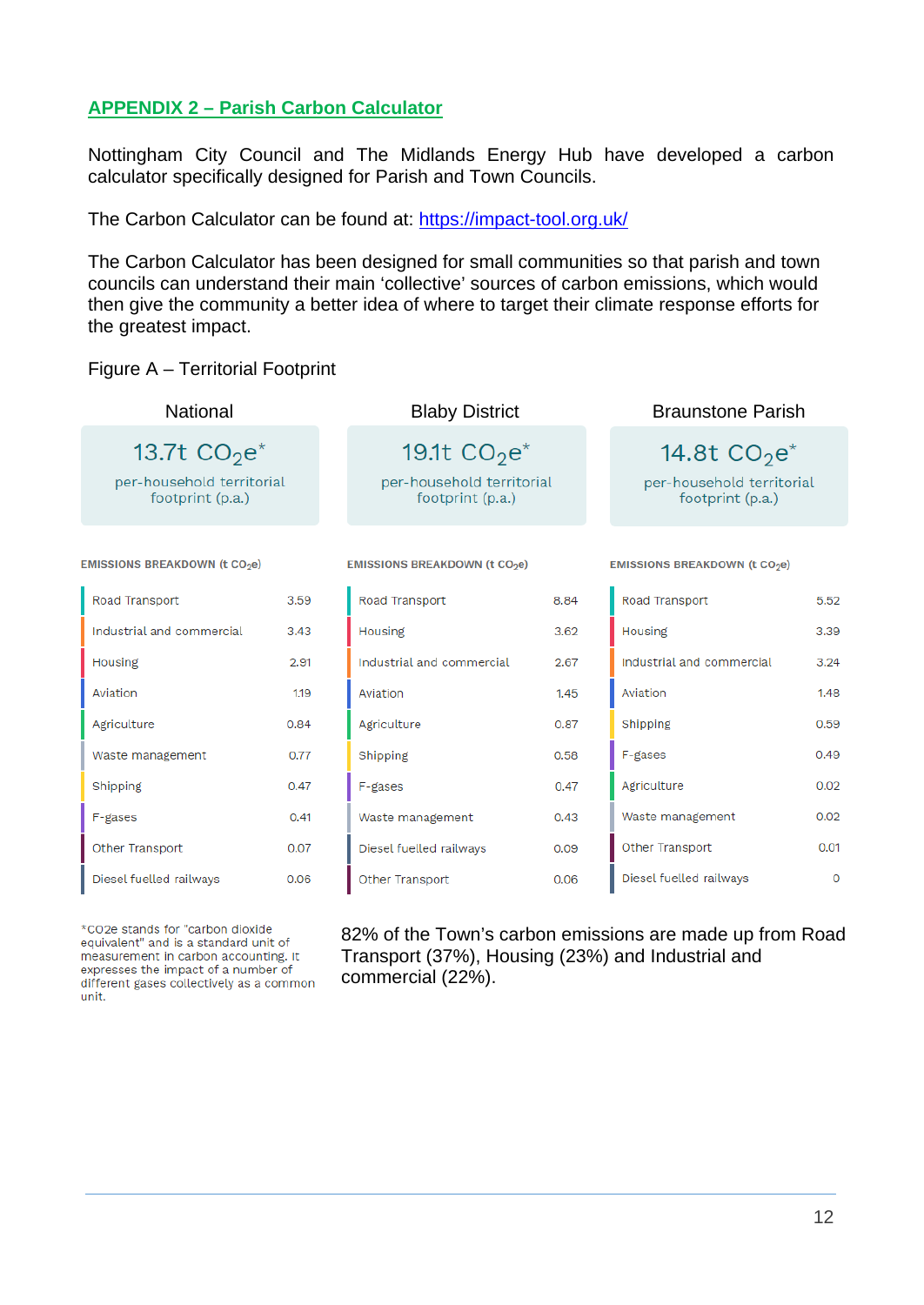### <span id="page-11-0"></span>**APPENDIX 2 – Parish Carbon Calculator**

Nottingham City Council and The Midlands Energy Hub have developed a carbon calculator specifically designed for Parish and Town Councils.

The Carbon Calculator can be found at:<https://impact-tool.org.uk/>

The Carbon Calculator has been designed for small communities so that parish and town councils can understand their main 'collective' sources of carbon emissions, which would then give the community a better idea of where to target their climate response efforts for the greatest impact.

#### Figure A – Territorial Footprint

| <b>National</b>                                |      | <b>Blaby District</b>                          |      | <b>Braunstone Parish</b>                       |          |
|------------------------------------------------|------|------------------------------------------------|------|------------------------------------------------|----------|
| 13.7t $CO2e*$                                  |      | 19.1t $CO2e*$                                  |      | 14.8t $CO2e*$                                  |          |
| per-household territorial<br>footprint (p.a.)  |      | per-household territorial<br>footprint (p.a.)  |      | per-household territorial<br>footprint (p.a.)  |          |
| <b>EMISSIONS BREAKDOWN (t CO<sub>2</sub>e)</b> |      | <b>EMISSIONS BREAKDOWN (t CO<sub>2</sub>e)</b> |      | <b>EMISSIONS BREAKDOWN (t CO<sub>2</sub>e)</b> |          |
| Road Transport                                 | 3.59 | Road Transport                                 | 8.84 | Road Transport                                 | 5.52     |
| Industrial and commercial                      | 3.43 | Housing                                        | 3.62 | Housing                                        | 3.39     |
| Housing                                        | 2.91 | Industrial and commercial                      | 2.67 | Industrial and commercial                      | 3.24     |
| Aviation                                       | 1.19 | Aviation                                       | 1.45 | Aviation                                       | 1.48     |
| Agriculture                                    | 0.84 | Agriculture                                    | 0.87 | Shipping                                       | 0.59     |
| Waste management                               | 0.77 | Shipping                                       | 0.58 | F-gases                                        | 0.49     |
| Shipping                                       | 0.47 | F-gases                                        | 0.47 | Agriculture                                    | 0.02     |
| F-gases                                        | 0.41 | Waste management                               | 0.43 | Waste management                               | 0.02     |
| Other Transport                                | 0.07 | Diesel fuelled railways                        | 0.09 | Other Transport                                | 0.01     |
| Diesel fuelled railways                        | 0.06 | Other Transport                                | 0.06 | Diesel fuelled railways                        | $\Omega$ |

\*CO2e stands for "carbon dioxide equivalent" and is a standard unit of measurement in carbon accounting. It expresses the impact of a number of different gases collectively as a common unit.

82% of the Town's carbon emissions are made up from Road Transport (37%), Housing (23%) and Industrial and commercial (22%).